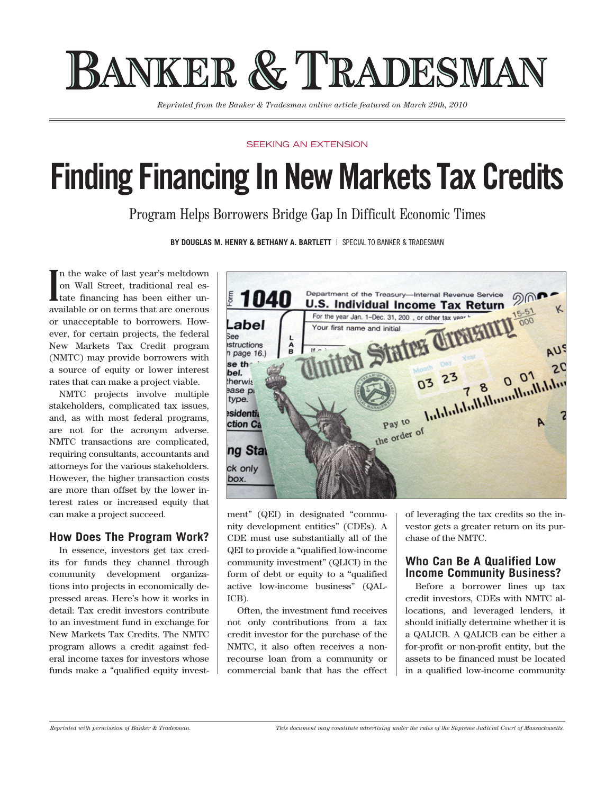# BANKER & TRADESMAN

*Reprinted from the Banker & Tradesman online article featured on March 29th, 2010*

#### SFFKING AN EXTENSION

# **Finding Financing In New Markets Tax Credits**

Program Helps Borrowers Bridge Gap In Difficult Economic Times

**By Douglas M. Henry & Bethany A. Bartlett** | Special To Banker & Tradesman

**I** n the wake of last year's meltdown on Wall Street, traditional real estate financing has been either unavailable or on terms that are onerous or unacceptable to borrowers. However, for certain projects, the federal New Markets Tax Credit program (NMTC) may provide borrowers with a source of equity or lower interest rates that can make a project viable.

NMTC projects involve multiple stakeholders, complicated tax issues, and, as with most federal programs, are not for the acronym adverse. NMTC transactions are complicated, requiring consultants, accountants and attorneys for the various stakeholders. However, the higher transaction costs are more than offset by the lower interest rates or increased equity that can make a project succeed.

#### **How Does The Program Work?**

In essence, investors get tax credits for funds they channel through community development organizations into projects in economically depressed areas. Here's how it works in detail: Tax credit investors contribute to an investment fund in exchange for New Markets Tax Credits. The NMTC program allows a credit against federal income taxes for investors whose funds make a "qualified equity invest-



ment" (QEI) in designated "community development entities" (CDEs). A CDE must use substantially all of the QEI to provide a "qualified low-income community investment" (QLICI) in the form of debt or equity to a "qualified active low-income business" (QAL-ICB).

Often, the investment fund receives not only contributions from a tax credit investor for the purchase of the NMTC, it also often receives a nonrecourse loan from a community or commercial bank that has the effect of leveraging the tax credits so the investor gets a greater return on its purchase of the NMTC.

#### **Who Can Be A Qualified Low Income Community Business?**

Before a borrower lines up tax credit investors, CDEs with NMTC allocations, and leveraged lenders, it should initially determine whether it is a QALICB. A QALICB can be either a for-profit or non-profit entity, but the assets to be financed must be located in a qualified low-income community